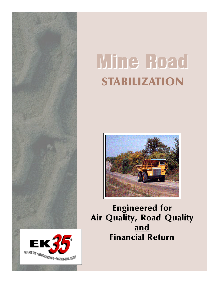

# Mine Road STABILIZATION



Engineered for Air Quality, Road Quality and Financial Return

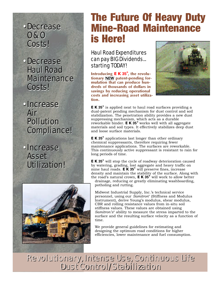# *• Decrease • Decrease O & O O & O Costs! Costs!*

*• Decrease • Decrease Haul Road Haul Road Maintenance Maintenance Costs! Costs!*

*• Increase • Increase Air Air Pollution Pollution Compliance! Compliance!*

*• Increase • Increase Asset Asset Utilization! Utilization!*



# The Future Of Heavy Duty Mine-Road Maintenance is Here!

# *Haul Road Expenditures can pay BIG Dividends... starting TODAY!*

Introducing **EK35®** , the revolutionary NEW patent-pending formulation that can produce hundreds of thousands of dollars in savings by reducing operational costs and increasing asset utilization.



**EK35®** is applied neat to haul road surfaces providing a dual-patent pending mechanism for dust control and soil stabilization. The penetration ability provides a new dust suppressing mechanism, which acts as a durable reworkable binder. **EK35®** works well with all aggregate materials and soil types. It effectively stabilizes deep dust and loose surface materials.

**EK35®** applications last longer than other ordinary chemical suppressants, therefore requiring fewer maintenance applications. The surfaces are reworkable. This continuously active suppressant is resistant to rain for long periods of time.

**EK35®** will stop the cycle of roadway deterioration caused by watering, grading, lost aggregate and heavy traffic on mine haul roads. **EK35®** will preserve fines, increase density and maintain the stability of the surface. Along with the road's natural crown, **EK35®** will work to allow better

drainage, reducing or greatly eliminating washboarding, potholing and rutting.

Midwest Industrial Supply, Inc.'s technical service personnel, using our *Samitron®* (Stiffness and Modulus Instrument), derive Young's modulus, shear modulus, CBR and rolling resistance values from in-situ soil stiffness values. These values are obtained using *Samitron's®* ability to measure the stress imparted to the surface and the resulting surface velocity as a function of time.

We provide general guidelines for estimating and designing the optimum road conditions for higher efficiencies, lower maintenance and fuel consumption.

*Revolutionary, Intense Use, Continuous Life Dust Control/Stabilization Revolutionary, Intense Use, Continuous Life Dust Control/Stabilization*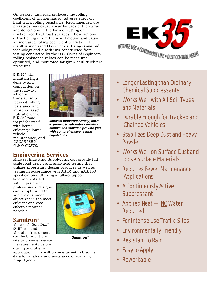On weaker haul road surfaces, the rolling coefficient of friction has an adverse effect on haul truck rolling resistance. Recommended tire pressures may cause shear failures of the surface and deflections in the form of rutting on unstabilized haul road surfaces. These actions extract energy from the wheel motion and cause an increased rolling coefficient of friction. The result is increased O & O costs! Using *Samitron®* technology and algorithms constructed from testing conducted by the U.S. Corps of Engineers rolling resistance values can be measured, optimized, and monitored for given haul truck tire pressures.



#### **EK35®** will maintain high density and compaction on the roadway, which will translate into reduced rolling resistance and improved asset

utilization. The **EK35®** road "pays" for itself with better efficiency, lower vehicle maintenance, and *DECREASED O & O COSTS!*



*Midwest Industrial Supply, Inc.'s experienced laboratory profes sionals and facilities provide you with comprehensive testing capabilities.*

## Engineering Services

Midwest Industrial Supply, Inc. can provide full scale road design and analytical testing that utilizes proprietary design practices as well as testing in accordance with ASTM and AASHTO specifications. Utilizing a fully-equipped

laboratory staffed with experienced professionals, designs can be optimized to achieve customer objectives in the most efficient and costeffective manner possible.

## Samitron**®**

Midwest's *Samitron®* (Stiffness and Modulus Instrument) can be brought onsite to provide precise measurements before, during and after an



*Samitron®*

application. This will provide us with objective data for analysis and assurance of realizing project goals.

- *• Longer Lasting than Ordinary Chemical Suppressants*
- *• Works Well with All Soil Types and Materials*
- *• Durable Enough for Tracked and Chained Vehicles*
- *• Stabilizes Deep Dust and Heavy Powder*
- *• Works Well on Surface Dust and Loose Surface Materials*
- *Requires Fewer Maintenance Applications*
- *A Continuously Active Suppressant*
- *Applied Neat NO Water Required*
- *• For Intense Use Traffic Sites*
- *• Environmentally Friendly*
- *Resistant to Rain*
- *Easy to Apply*
- *Reworkable*